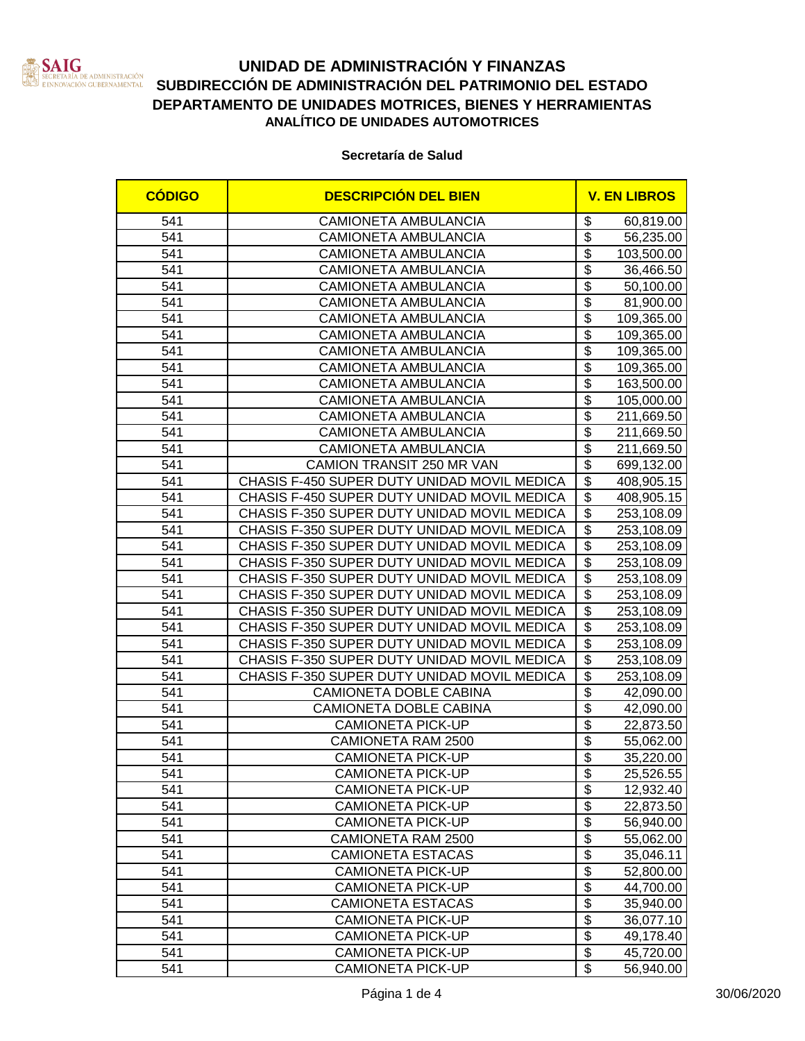

# **UNIDAD DE ADMINISTRACIÓN Y FINANZAS SUBDIRECCIÓN DE ADMINISTRACIÓN DEL PATRIMONIO DEL ESTADO**<br>ERECREADO GUBERNAMENTAL SUBDIRECCIÓN DE ADMINISTRACIÓN DEL PATRIMONIO DEL ESTADO **DEPARTAMENTO DE UNIDADES MOTRICES, BIENES Y HERRAMIENTAS ANALÍTICO DE UNIDADES AUTOMOTRICES**

#### **Secretaría de Salud**

| <b>CÓDIGO</b> | <b>DESCRIPCIÓN DEL BIEN</b>                 | <b>V. EN LIBROS</b>                    |            |
|---------------|---------------------------------------------|----------------------------------------|------------|
| 541           | <b>CAMIONETA AMBULANCIA</b>                 | \$                                     | 60,819.00  |
| 541           | CAMIONETA AMBULANCIA                        | \$                                     | 56,235.00  |
| 541           | <b>CAMIONETA AMBULANCIA</b>                 | \$                                     | 103,500.00 |
| 541           | <b>CAMIONETA AMBULANCIA</b>                 | \$                                     | 36,466.50  |
| 541           | <b>CAMIONETA AMBULANCIA</b>                 | \$                                     | 50,100.00  |
| 541           | <b>CAMIONETA AMBULANCIA</b>                 | $\overline{\$}$                        | 81,900.00  |
| 541           | <b>CAMIONETA AMBULANCIA</b>                 | $\overline{\mathbf{3}}$                | 109,365.00 |
| 541           | CAMIONETA AMBULANCIA                        | $\overline{\mathbf{3}}$                | 109,365.00 |
| 541           | <b>CAMIONETA AMBULANCIA</b>                 | $\overline{\mathbf{3}}$                | 109,365.00 |
| 541           | <b>CAMIONETA AMBULANCIA</b>                 | $\overline{\$}$                        | 109,365.00 |
| 541           | <b>CAMIONETA AMBULANCIA</b>                 | $\overline{\$}$                        | 163,500.00 |
| 541           | <b>CAMIONETA AMBULANCIA</b>                 | $\overline{\$}$                        | 105,000.00 |
| 541           | <b>CAMIONETA AMBULANCIA</b>                 | $\overline{\mathbf{S}}$                | 211,669.50 |
| 541           | <b>CAMIONETA AMBULANCIA</b>                 | $\overline{\$}$                        | 211,669.50 |
| 541           | <b>CAMIONETA AMBULANCIA</b>                 | $\overline{\$}$                        | 211,669.50 |
| 541           | CAMION TRANSIT 250 MR VAN                   | $\overline{\$}$                        | 699,132.00 |
| 541           | CHASIS F-450 SUPER DUTY UNIDAD MOVIL MEDICA | $\overline{\mathbb{S}}$                | 408,905.15 |
| 541           | CHASIS F-450 SUPER DUTY UNIDAD MOVIL MEDICA | $\overline{\mathfrak{s}}$              | 408,905.15 |
| 541           | CHASIS F-350 SUPER DUTY UNIDAD MOVIL MEDICA | $\overline{\mathfrak{s}}$              | 253,108.09 |
| 541           | CHASIS F-350 SUPER DUTY UNIDAD MOVIL MEDICA | \$                                     | 253,108.09 |
| 541           | CHASIS F-350 SUPER DUTY UNIDAD MOVIL MEDICA | \$                                     | 253,108.09 |
| 541           | CHASIS F-350 SUPER DUTY UNIDAD MOVIL MEDICA | \$                                     | 253,108.09 |
| 541           | CHASIS F-350 SUPER DUTY UNIDAD MOVIL MEDICA | $\overline{\mathcal{S}}$               | 253,108.09 |
| 541           | CHASIS F-350 SUPER DUTY UNIDAD MOVIL MEDICA | $\overline{\mathcal{S}}$               | 253,108.09 |
| 541           | CHASIS F-350 SUPER DUTY UNIDAD MOVIL MEDICA | $\overline{\boldsymbol{\mathfrak{s}}}$ | 253,108.09 |
| 541           | CHASIS F-350 SUPER DUTY UNIDAD MOVIL MEDICA | $\overline{\$}$                        | 253,108.09 |
| 541           | CHASIS F-350 SUPER DUTY UNIDAD MOVIL MEDICA | $\overline{\$}$                        | 253,108.09 |
| 541           | CHASIS F-350 SUPER DUTY UNIDAD MOVIL MEDICA | $\overline{\$}$                        | 253,108.09 |
| 541           | CHASIS F-350 SUPER DUTY UNIDAD MOVIL MEDICA | \$                                     | 253,108.09 |
| 541           | CAMIONETA DOBLE CABINA                      | $\overline{\$}$                        | 42,090.00  |
| 541           | CAMIONETA DOBLE CABINA                      | $\overline{\$}$                        | 42,090.00  |
| 541           | <b>CAMIONETA PICK-UP</b>                    | $\overline{\$}$                        | 22,873.50  |
| 541           | CAMIONETA RAM 2500                          | $\overline{\$}$                        | 55,062.00  |
| 541           | <b>CAMIONETA PICK-UP</b>                    | \$                                     | 35,220.00  |
| 541           | <b>CAMIONETA PICK-UP</b>                    | \$                                     | 25,526.55  |
| 541           | <b>CAMIONETA PICK-UP</b>                    | $\overline{\mathbf{3}}$                | 12,932.40  |
| 541           | <b>CAMIONETA PICK-UP</b>                    | \$                                     | 22,873.50  |
| 541           | <b>CAMIONETA PICK-UP</b>                    | \$                                     | 56,940.00  |
| 541           | CAMIONETA RAM 2500                          | $\overline{\boldsymbol{\mathfrak{s}}}$ | 55,062.00  |
| 541           | <b>CAMIONETA ESTACAS</b>                    | $\overline{\boldsymbol{\mathfrak{s}}}$ | 35,046.11  |
| 541           | <b>CAMIONETA PICK-UP</b>                    | $\overline{\mathcal{S}}$               | 52,800.00  |
| 541           | <b>CAMIONETA PICK-UP</b>                    | $\overline{\mathcal{S}}$               | 44,700.00  |
| 541           | <b>CAMIONETA ESTACAS</b>                    | $\overline{\boldsymbol{\mathsf{S}}}$   | 35,940.00  |
| 541           | <b>CAMIONETA PICK-UP</b>                    | $\overline{\mathfrak{s}}$              | 36,077.10  |
| 541           | <b>CAMIONETA PICK-UP</b>                    | $\overline{\$}$                        | 49,178.40  |
| 541           | <b>CAMIONETA PICK-UP</b>                    | $\overline{\mathbf{S}}$                | 45,720.00  |
| 541           | <b>CAMIONETA PICK-UP</b>                    | \$                                     | 56,940.00  |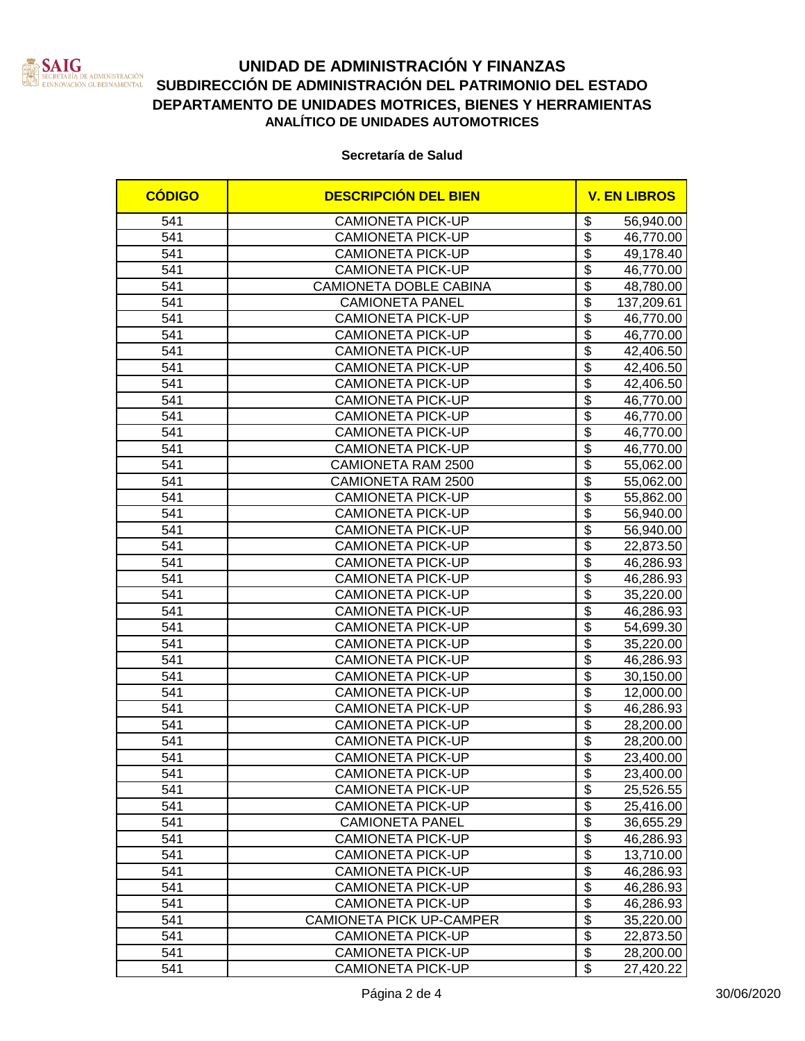

### **UNIDAD DE ADMINISTRACIÓN Y FINANZAS SUBDIRECCIÓN DE ADMINISTRACIÓN DEL PATRIMONIO DEL ESTADO DEPARTAMENTO DE UNIDADES MOTRICES, BIENES Y HERRAMIENTAS ANALÍTICO DE UNIDADES AUTOMOTRICES**

#### **Secretaría de Salud**

| <b>CÓDIGO</b> | <b>DESCRIPCIÓN DEL BIEN</b> | <b>V. EN LIBROS</b>                                 |
|---------------|-----------------------------|-----------------------------------------------------|
| 541           | <b>CAMIONETA PICK-UP</b>    | \$<br>56,940.00                                     |
| 541           | <b>CAMIONETA PICK-UP</b>    | \$<br>46,770.00                                     |
| 541           | <b>CAMIONETA PICK-UP</b>    | \$<br>49,178.40                                     |
| 541           | <b>CAMIONETA PICK-UP</b>    | \$<br>46,770.00                                     |
| 541           | CAMIONETA DOBLE CABINA      | \$<br>48,780.00                                     |
| 541           | <b>CAMIONETA PANEL</b>      | $\overline{\$}$<br>137,209.61                       |
| 541           | <b>CAMIONETA PICK-UP</b>    | $\overline{\boldsymbol{\mathfrak{s}}}$<br>46,770.00 |
| 541           | <b>CAMIONETA PICK-UP</b>    | $\overline{\mathbf{3}}$<br>46,770.00                |
| 541           | <b>CAMIONETA PICK-UP</b>    | $\overline{\mathbf{3}}$<br>42,406.50                |
| 541           | <b>CAMIONETA PICK-UP</b>    | $\overline{\$}$<br>42,406.50                        |
| 541           | <b>CAMIONETA PICK-UP</b>    | $\overline{\$}$<br>42,406.50                        |
| 541           | <b>CAMIONETA PICK-UP</b>    | $\overline{\$}$<br>46,770.00                        |
| 541           | <b>CAMIONETA PICK-UP</b>    | $\overline{\mathbb{S}}$<br>46,770.00                |
| 541           | <b>CAMIONETA PICK-UP</b>    | $\overline{\mathbb{S}}$<br>46,770.00                |
| 541           | <b>CAMIONETA PICK-UP</b>    | $\overline{\$}$<br>46,770.00                        |
| 541           | CAMIONETA RAM 2500          | $\overline{\$}$<br>55,062.00                        |
| 541           | CAMIONETA RAM 2500          | $\overline{\mathbb{S}}$<br>55,062.00                |
| 541           | <b>CAMIONETA PICK-UP</b>    | $\overline{\mathfrak{s}}$<br>55,862.00              |
| 541           | <b>CAMIONETA PICK-UP</b>    | \$<br>56,940.00                                     |
| 541           | <b>CAMIONETA PICK-UP</b>    | $\overline{\mathfrak{s}}$<br>56,940.00              |
| 541           | <b>CAMIONETA PICK-UP</b>    | \$<br>22,873.50                                     |
| 541           | <b>CAMIONETA PICK-UP</b>    | $\overline{\mathfrak{s}}$<br>46,286.93              |
| 541           | <b>CAMIONETA PICK-UP</b>    | $\overline{\mathbb{S}}$<br>46,286.93                |
| 541           | <b>CAMIONETA PICK-UP</b>    | $\overline{\mathcal{S}}$<br>35,220.00               |
| 541           | <b>CAMIONETA PICK-UP</b>    | $\overline{\$}$<br>46,286.93                        |
| 541           | <b>CAMIONETA PICK-UP</b>    | $\overline{\$}$<br>54,699.30                        |
| 541           | <b>CAMIONETA PICK-UP</b>    | $\overline{\$}$<br>35,220.00                        |
| 541           | <b>CAMIONETA PICK-UP</b>    | $\overline{\$}$<br>46,286.93                        |
| 541           | <b>CAMIONETA PICK-UP</b>    | $\overline{\$}$<br>30,150.00                        |
| 541           | <b>CAMIONETA PICK-UP</b>    | $\overline{\$}$<br>12,000.00                        |
| 541           | <b>CAMIONETA PICK-UP</b>    | $\overline{\$}$<br>46,286.93                        |
| 541           | <b>CAMIONETA PICK-UP</b>    | $\overline{\$}$<br>28,200.00                        |
| 541           | <b>CAMIONETA PICK-UP</b>    | $\overline{\boldsymbol{\mathfrak{s}}}$<br>28,200.00 |
| 541           | <b>CAMIONETA PICK-UP</b>    | \$<br>23,400.00                                     |
| 541           | CAMIONETA PICK-UP           | \$<br>23,400.00                                     |
| 541           | <b>CAMIONETA PICK-UP</b>    | $\overline{\mathbf{S}}$<br>25,526.55                |
| 541           | <b>CAMIONETA PICK-UP</b>    | \$<br>25,416.00                                     |
| 541           | <b>CAMIONETA PANEL</b>      | \$<br>36,655.29                                     |
| 541           | <b>CAMIONETA PICK-UP</b>    | $\overline{\boldsymbol{\mathfrak{s}}}$<br>46,286.93 |
| 541           | <b>CAMIONETA PICK-UP</b>    | $\overline{\boldsymbol{\mathfrak{s}}}$<br>13,710.00 |
| 541           | <b>CAMIONETA PICK-UP</b>    | $\overline{\mathbf{S}}$<br>46,286.93                |
| 541           | <b>CAMIONETA PICK-UP</b>    | $\overline{\mathbf{S}}$<br>46,286.93                |
| 541           | <b>CAMIONETA PICK-UP</b>    | $\overline{\mathbf{S}}$<br>46,286.93                |
| 541           | CAMIONETA PICK UP-CAMPER    | $\overline{\mathbf{S}}$<br>35,220.00                |
| 541           | <b>CAMIONETA PICK-UP</b>    | $\overline{\mathbf{S}}$<br>22,873.50                |
| 541           | <b>CAMIONETA PICK-UP</b>    | $\overline{\mathbf{S}}$<br>28,200.00                |
| 541           | <b>CAMIONETA PICK-UP</b>    | \$<br>27,420.22                                     |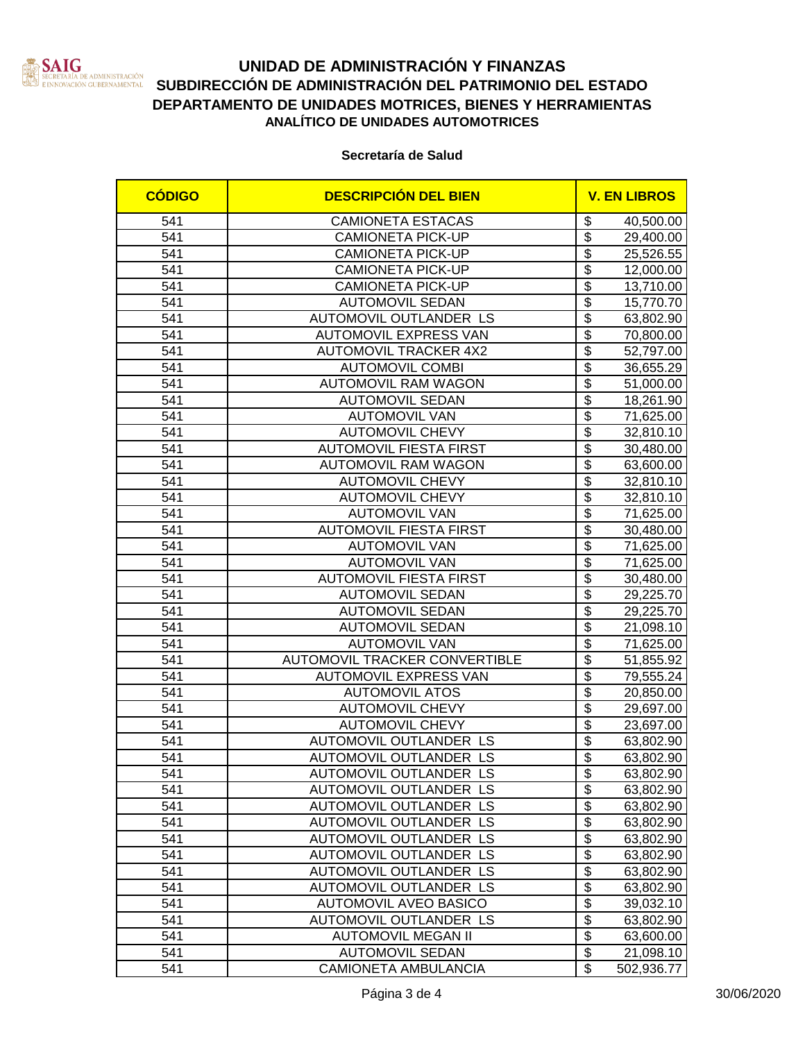

# **UNIDAD DE ADMINISTRACIÓN Y FINANZAS SUBDIRECCIÓN DE ADMINISTRACIÓN DEL PATRIMONIO DEL ESTADO**<br>ERECREADO GUBERNAMENTAL SUBDIRECCIÓN DE ADMINISTRACIÓN DEL PATRIMONIO DEL ESTADO **DEPARTAMENTO DE UNIDADES MOTRICES, BIENES Y HERRAMIENTAS ANALÍTICO DE UNIDADES AUTOMOTRICES**

**Secretaría de Salud**

| <b>CÓDIGO</b> | <b>DESCRIPCIÓN DEL BIEN</b>          |                                        | <b>V. EN LIBROS</b> |
|---------------|--------------------------------------|----------------------------------------|---------------------|
| 541           | <b>CAMIONETA ESTACAS</b>             | \$                                     | 40,500.00           |
| 541           | <b>CAMIONETA PICK-UP</b>             | $\overline{\mathcal{S}}$               | 29,400.00           |
| 541           | <b>CAMIONETA PICK-UP</b>             | $\overline{\$}$                        | 25,526.55           |
| 541           | <b>CAMIONETA PICK-UP</b>             | $\overline{\$}$                        | 12,000.00           |
| 541           | <b>CAMIONETA PICK-UP</b>             | $\overline{\$}$                        | 13,710.00           |
| 541           | <b>AUTOMOVIL SEDAN</b>               | $\overline{\$}$                        | 15,770.70           |
| 541           | AUTOMOVIL OUTLANDER LS               | $\overline{\$}$                        | 63,802.90           |
| 541           | AUTOMOVIL EXPRESS VAN                | $\overline{\$}$                        | 70,800.00           |
| 541           | <b>AUTOMOVIL TRACKER 4X2</b>         | $\overline{\$}$                        | 52,797.00           |
| 541           | <b>AUTOMOVIL COMBI</b>               | $\overline{\$}$                        | 36,655.29           |
| 541           | <b>AUTOMOVIL RAM WAGON</b>           | $\overline{\$}$                        | 51,000.00           |
| 541           | <b>AUTOMOVIL SEDAN</b>               | $\overline{\$}$                        | 18,261.90           |
| 541           | <b>AUTOMOVIL VAN</b>                 | $\overline{\$}$                        | 71,625.00           |
| 541           | <b>AUTOMOVIL CHEVY</b>               | $\overline{\mathbf{S}}$                | 32,810.10           |
| 541           | <b>AUTOMOVIL FIESTA FIRST</b>        | $\overline{\mathcal{S}}$               | 30,480.00           |
| 541           | <b>AUTOMOVIL RAM WAGON</b>           | $\overline{\mathcal{S}}$               | 63,600.00           |
| 541           | <b>AUTOMOVIL CHEVY</b>               | $\overline{\mathcal{S}}$               | 32,810.10           |
| 541           | <b>AUTOMOVIL CHEVY</b>               | $\overline{\mathbf{S}}$                | 32,810.10           |
| 541           | <b>AUTOMOVIL VAN</b>                 | $\overline{\mathcal{S}}$               | 71,625.00           |
| 541           | <b>AUTOMOVIL FIESTA FIRST</b>        | $\overline{\$}$                        | 30,480.00           |
| 541           | <b>AUTOMOVIL VAN</b>                 | $\overline{\$}$                        | 71,625.00           |
| 541           | <b>AUTOMOVIL VAN</b>                 | $\overline{\mathbf{S}}$                | 71,625.00           |
| 541           | <b>AUTOMOVIL FIESTA FIRST</b>        | $\overline{\$}$                        | 30,480.00           |
| 541           | <b>AUTOMOVIL SEDAN</b>               | $\overline{\mathbf{S}}$                | 29,225.70           |
| 541           | <b>AUTOMOVIL SEDAN</b>               | $\overline{\$}$                        | 29,225.70           |
| 541           | <b>AUTOMOVIL SEDAN</b>               | $\overline{\$}$                        | 21,098.10           |
| 541           | <b>AUTOMOVIL VAN</b>                 | $\overline{\$}$                        | 71,625.00           |
| 541           | <b>AUTOMOVIL TRACKER CONVERTIBLE</b> | $\overline{\$}$                        | 51,855.92           |
| 541           | <b>AUTOMOVIL EXPRESS VAN</b>         | $\overline{\$}$                        | 79,555.24           |
| 541           | <b>AUTOMOVIL ATOS</b>                | $\overline{\$}$                        | 20,850.00           |
| 541           | <b>AUTOMOVIL CHEVY</b>               | $\overline{\$}$                        | 29,697.00           |
| 541           | <b>AUTOMOVIL CHEVY</b>               | $\overline{\$}$                        | 23,697.00           |
| 541           | AUTOMOVIL OUTLANDER LS               | $\overline{\boldsymbol{\mathfrak{s}}}$ | 63,802.90           |
| 541           | AUTOMOVIL OUTLANDER LS               | $\overline{\mathbf{S}}$                | 63,802.90           |
| 541           | AUTOMOVIL OUTLANDER LS               | \$                                     | 63,802.90           |
| 541           | AUTOMOVIL OUTLANDER LS               | $\overline{\$}$                        | 63,802.90           |
| 541           | AUTOMOVIL OUTLANDER LS               | $\overline{\mathbf{e}}$                | 63,802.90           |
| 541           | AUTOMOVIL OUTLANDER LS               | $\overline{\$}$                        | 63,802.90           |
| 541           | AUTOMOVIL OUTLANDER LS               | $\overline{\$}$                        | 63,802.90           |
| 541           | <b>AUTOMOVIL OUTLANDER LS</b>        | $\overline{\$}$                        | 63,802.90           |
| 541           | AUTOMOVIL OUTLANDER LS               | $\overline{\mathbf{S}}$                | 63,802.90           |
| 541           | AUTOMOVIL OUTLANDER LS               | $\overline{\$}$                        | 63,802.90           |
| 541           | <b>AUTOMOVIL AVEO BASICO</b>         | $\overline{\mathbf{S}}$                | 39,032.10           |
| 541           | AUTOMOVIL OUTLANDER LS               | $\overline{\$}$                        | 63,802.90           |
| 541           | <b>AUTOMOVIL MEGAN II</b>            | $\overline{\$}$                        | 63,600.00           |
| 541           | <b>AUTOMOVIL SEDAN</b>               | $\overline{\$}$                        | 21,098.10           |
| 541           | <b>CAMIONETA AMBULANCIA</b>          | \$                                     | 502,936.77          |